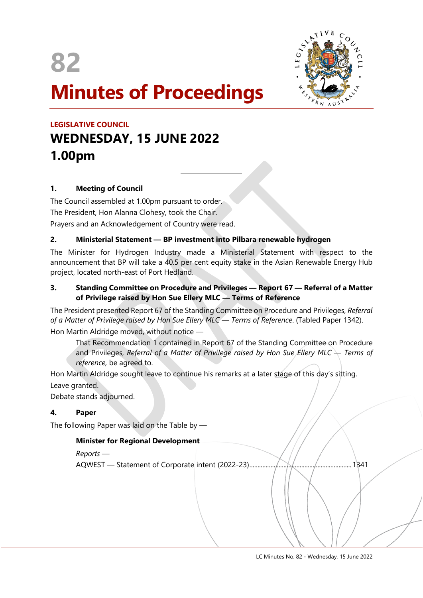



# **Minutes of Proceedings**

## **LEGISLATIVE COUNCIL WEDNESDAY, 15 JUNE 2022 1.00pm**

### **1. Meeting of Council**

The Council assembled at 1.00pm pursuant to order. The President, Hon Alanna Clohesy, took the Chair. Prayers and an Acknowledgement of Country were read.

#### **2. Ministerial Statement — BP investment into Pilbara renewable hydrogen**

 $\overline{a}$ 

The Minister for Hydrogen Industry made a Ministerial Statement with respect to the announcement that BP will take a 40.5 per cent equity stake in the Asian Renewable Energy Hub project, located north-east of Port Hedland.

#### **3. Standing Committee on Procedure and Privileges — Report 67 — Referral of a Matter of Privilege raised by Hon Sue Ellery MLC — Terms of Reference**

The President presented Report 67 of the Standing Committee on Procedure and Privileges, *Referral of a Matter of Privilege raised by Hon Sue Ellery MLC — Terms of Reference*. (Tabled Paper 1342). Hon Martin Aldridge moved, without notice —

That Recommendation 1 contained in Report 67 of the Standing Committee on Procedure and Privileges, *Referral of a Matter of Privilege raised by Hon Sue Ellery MLC*  $\rightarrow$  *Terms of reference,* be agreed to.

Hon Martin Aldridge sought leave to continue his remarks at a later stage of this day's sitting. Leave granted.

Debate stands adjourned.

#### **4. Paper**

The following Paper was laid on the Table by —

#### **Minister for Regional Development**

#### *Reports —*

AQWEST — Statement of Corporate intent (2022-23)...............................................................1341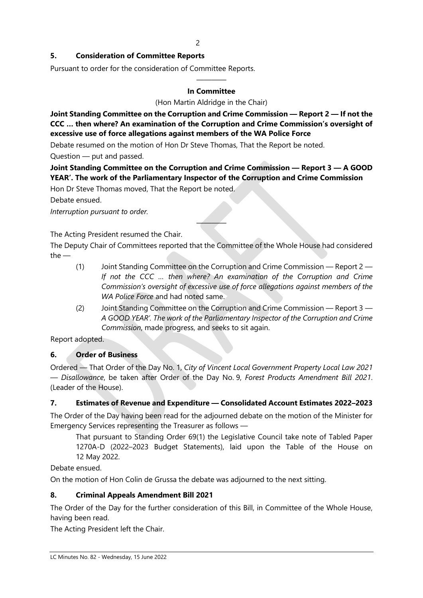#### **5. Consideration of Committee Reports**

Pursuant to order for the consideration of Committee Reports.

#### ———— **In Committee**

(Hon Martin Aldridge in the Chair)

**Joint Standing Committee on the Corruption and Crime Commission — Report 2 — If not the CCC … then where? An examination of the Corruption and Crime Commission's oversight of excessive use of force allegations against members of the WA Police Force**

Debate resumed on the motion of Hon Dr Steve Thomas, That the Report be noted.

Question — put and passed.

**Joint Standing Committee on the Corruption and Crime Commission — Report 3 — A GOOD YEAR'. The work of the Parliamentary Inspector of the Corruption and Crime Commission**

Hon Dr Steve Thomas moved, That the Report be noted.

Debate ensued.

*Interruption pursuant to order.*

The Acting President resumed the Chair.

The Deputy Chair of Committees reported that the Committee of the Whole House had considered the —

————

- (1) Joint Standing Committee on the Corruption and Crime Commission Report 2 *If not the CCC … then where? An examination of the Corruption and Crime Commission's oversight of excessive use of force allegations against members of the WA Police Force* and had noted same.
- (2) Joint Standing Committee on the Corruption and Crime Commission Report 3 *A GOOD YEAR'. The work of the Parliamentary Inspector of the Corruption and Crime Commission*, made progress, and seeks to sit again.

Report adopted.

#### **6. Order of Business**

Ordered — That Order of the Day No. 1, *City of Vincent Local Government Property Local Law 2021 — Disallowance*, be taken after Order of the Day No. 9, *Forest Products Amendment Bill 2021*. (Leader of the House).

#### **7. Estimates of Revenue and Expenditure — Consolidated Account Estimates 2022–2023**

The Order of the Day having been read for the adjourned debate on the motion of the Minister for Emergency Services representing the Treasurer as follows —

That pursuant to Standing Order 69(1) the Legislative Council take note of Tabled Paper 1270A-D (2022–2023 Budget Statements), laid upon the Table of the House on 12 May 2022.

Debate ensued.

On the motion of Hon Colin de Grussa the debate was adjourned to the next sitting.

#### **8. Criminal Appeals Amendment Bill 2021**

The Order of the Day for the further consideration of this Bill, in Committee of the Whole House, having been read.

The Acting President left the Chair.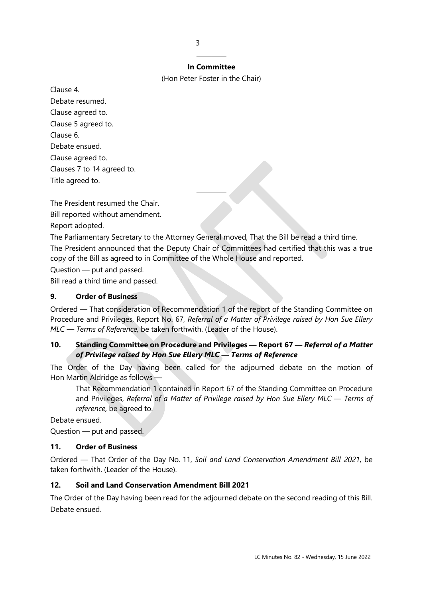#### ———— **In Committee**

(Hon Peter Foster in the Chair)

Clause 4. Debate resumed. Clause agreed to. Clause 5 agreed to. Clause 6. Debate ensued. Clause agreed to. Clauses 7 to 14 agreed to. Title agreed to.

The President resumed the Chair.

Bill reported without amendment.

Report adopted.

The Parliamentary Secretary to the Attorney General moved, That the Bill be read a third time. The President announced that the Deputy Chair of Committees had certified that this was a true copy of the Bill as agreed to in Committee of the Whole House and reported.

————

Question — put and passed.

Bill read a third time and passed.

#### **9. Order of Business**

Ordered — That consideration of Recommendation 1 of the report of the Standing Committee on Procedure and Privileges, Report No. 67, *Referral of a Matter of Privilege raised by Hon Sue Ellery MLC — Terms of Reference,* be taken forthwith. (Leader of the House).

#### **10. Standing Committee on Procedure and Privileges — Report 67 —** *Referral of a Matter of Privilege raised by Hon Sue Ellery MLC — Terms of Reference*

The Order of the Day having been called for the adjourned debate on the motion of Hon Martin Aldridge as follows —

That Recommendation 1 contained in Report 67 of the Standing Committee on Procedure and Privileges, *Referral of a Matter of Privilege raised by Hon Sue Ellery MLC — Terms of reference,* be agreed to.

Debate ensued.

Question — put and passed.

#### **11. Order of Business**

Ordered — That Order of the Day No. 11, *Soil and Land Conservation Amendment Bill 2021*, be taken forthwith. (Leader of the House).

#### **12. Soil and Land Conservation Amendment Bill 2021**

The Order of the Day having been read for the adjourned debate on the second reading of this Bill. Debate ensued.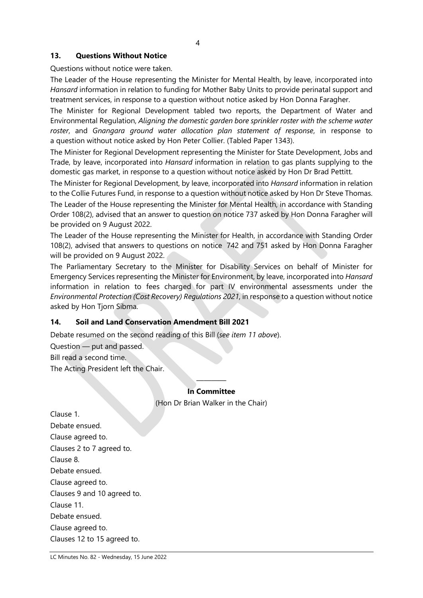#### **13. Questions Without Notice**

Questions without notice were taken.

The Leader of the House representing the Minister for Mental Health, by leave, incorporated into *Hansard* information in relation to funding for Mother Baby Units to provide perinatal support and treatment services, in response to a question without notice asked by Hon Donna Faragher.

The Minister for Regional Development tabled two reports, the Department of Water and Environmental Regulation, *Aligning the domestic garden bore sprinkler roster with the scheme water roster*, and *Gnangara ground water allocation plan statement of response*, in response to a question without notice asked by Hon Peter Collier. (Tabled Paper 1343).

The Minister for Regional Development representing the Minister for State Development, Jobs and Trade, by leave, incorporated into *Hansard* information in relation to gas plants supplying to the domestic gas market, in response to a question without notice asked by Hon Dr Brad Pettitt.

The Minister for Regional Development, by leave, incorporated into *Hansard* information in relation to the Collie Futures Fund, in response to a question without notice asked by Hon Dr Steve Thomas.

The Leader of the House representing the Minister for Mental Health, in accordance with Standing Order 108(2), advised that an answer to question on notice 737 asked by Hon Donna Faragher will be provided on 9 August 2022.

The Leader of the House representing the Minister for Health, in accordance with Standing Order 108(2), advised that answers to questions on notice 742 and 751 asked by Hon Donna Faragher will be provided on 9 August 2022.

The Parliamentary Secretary to the Minister for Disability Services on behalf of Minister for Emergency Services representing the Minister for Environment, by leave, incorporated into *Hansard* information in relation to fees charged for part IV environmental assessments under the *Environmental Protection (Cost Recovery) Regulations 2021*, in response to a question without notice asked by Hon Tjorn Sibma.

#### **14. Soil and Land Conservation Amendment Bill 2021**

Debate resumed on the second reading of this Bill (*see item 11 above*).

Question — put and passed.

Bill read a second time.

The Acting President left the Chair.

#### **In Committee** (Hon Dr Brian Walker in the Chair)

————

Clause 1. Debate ensued. Clause agreed to. Clauses 2 to 7 agreed to. Clause 8. Debate ensued. Clause agreed to. Clauses 9 and 10 agreed to. Clause 11. Debate ensued. Clause agreed to. Clauses 12 to 15 agreed to.